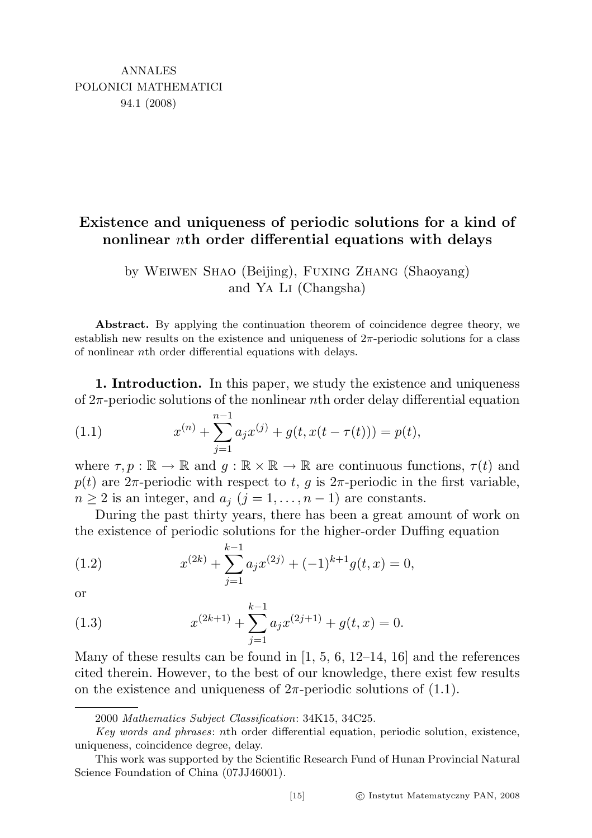## Existence and uniqueness of periodic solutions for a kind of nonlinear nth order differential equations with delays

by Weiwen Shao (Beijing), Fuxing Zhang (Shaoyang) and Ya Li (Changsha)

Abstract. By applying the continuation theorem of coincidence degree theory, we establish new results on the existence and uniqueness of  $2\pi$ -periodic solutions for a class of nonlinear nth order differential equations with delays.

1. Introduction. In this paper, we study the existence and uniqueness of  $2\pi$ -periodic solutions of the nonlinear nth order delay differential equation

(1.1) 
$$
x^{(n)} + \sum_{j=1}^{n-1} a_j x^{(j)} + g(t, x(t - \tau(t))) = p(t),
$$

where  $\tau, p : \mathbb{R} \to \mathbb{R}$  and  $g : \mathbb{R} \times \mathbb{R} \to \mathbb{R}$  are continuous functions,  $\tau(t)$  and p(t) are  $2\pi$ -periodic with respect to t, g is  $2\pi$ -periodic in the first variable,  $n \geq 2$  is an integer, and  $a_j$   $(j = 1, \ldots, n-1)$  are constants.

During the past thirty years, there has been a great amount of work on the existence of periodic solutions for the higher-order Duffing equation

(1.2) 
$$
x^{(2k)} + \sum_{j=1}^{k-1} a_j x^{(2j)} + (-1)^{k+1} g(t, x) = 0,
$$

or

(1.3) 
$$
x^{(2k+1)} + \sum_{j=1}^{k-1} a_j x^{(2j+1)} + g(t, x) = 0.
$$

Many of these results can be found in  $[1, 5, 6, 12-14, 16]$  and the references cited therein. However, to the best of our knowledge, there exist few results on the existence and uniqueness of  $2\pi$ -periodic solutions of  $(1.1)$ .

<sup>2000</sup> Mathematics Subject Classification: 34K15, 34C25.

Key words and phrases: nth order differential equation, periodic solution, existence, uniqueness, coincidence degree, delay.

This work was supported by the Scientific Research Fund of Hunan Provincial Natural Science Foundation of China (07JJ46001).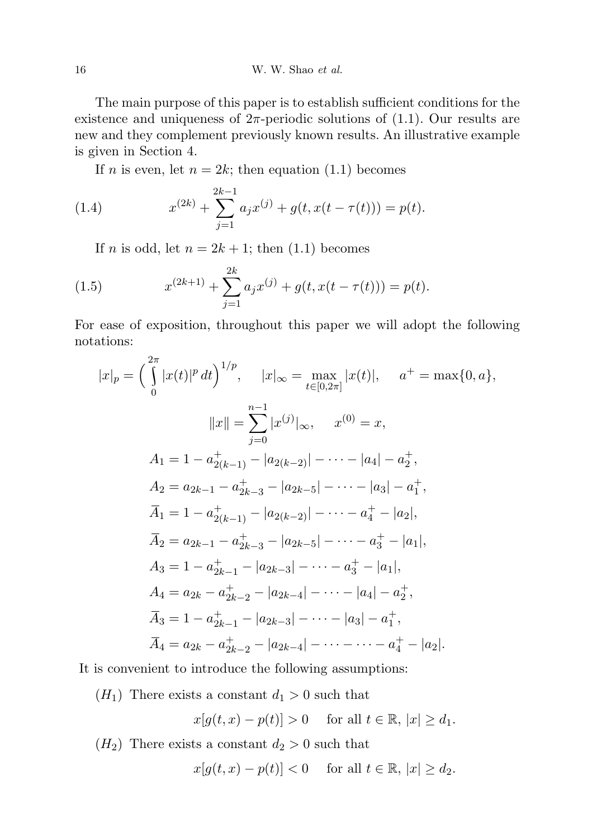The main purpose of this paper is to establish sufficient conditions for the existence and uniqueness of  $2\pi$ -periodic solutions of  $(1.1)$ . Our results are new and they complement previously known results. An illustrative example is given in Section 4.

If *n* is even, let  $n = 2k$ ; then equation (1.1) becomes

(1.4) 
$$
x^{(2k)} + \sum_{j=1}^{2k-1} a_j x^{(j)} + g(t, x(t - \tau(t))) = p(t).
$$

If *n* is odd, let  $n = 2k + 1$ ; then (1.1) becomes

(1.5) 
$$
x^{(2k+1)} + \sum_{j=1}^{2k} a_j x^{(j)} + g(t, x(t - \tau(t))) = p(t).
$$

For ease of exposition, throughout this paper we will adopt the following notations:

$$
|x|_p = \left(\int_0^{2\pi} |x(t)|^p dt\right)^{1/p}, \quad |x|_\infty = \max_{t \in [0, 2\pi]} |x(t)|, \quad a^+ = \max\{0, a\},
$$
  

$$
||x|| = \sum_{j=0}^{n-1} |x^{(j)}|_\infty, \quad x^{(0)} = x,
$$
  

$$
A_1 = 1 - a_{2(k-1)}^+ - |a_{2(k-2)}| - \dots - |a_4| - a_2^+,
$$
  

$$
A_2 = a_{2k-1} - a_{2k-3}^+ - |a_{2k-5}| - \dots - |a_3| - a_1^+,
$$
  

$$
\overline{A}_1 = 1 - a_{2(k-1)}^+ - |a_{2(k-2)}| - \dots - a_4^+ - |a_2|,
$$
  

$$
\overline{A}_2 = a_{2k-1} - a_{2k-3}^+ - |a_{2k-5}| - \dots - a_3^+ - |a_1|,
$$
  

$$
A_3 = 1 - a_{2k-1}^+ - |a_{2k-3}| - \dots - a_3^+ - |a_1|,
$$
  

$$
A_4 = a_{2k} - a_{2k-2}^+ - |a_{2k-4}| - \dots - |a_4| - a_2^+,
$$
  

$$
\overline{A}_3 = 1 - a_{2k-1}^+ - |a_{2k-3}| - \dots - |a_3| - a_1^+,
$$
  

$$
\overline{A}_4 = a_{2k} - a_{2k-2}^+ - |a_{2k-4}| - \dots - a_4^+ - |a_2|.
$$

It is convenient to introduce the following assumptions:

 $(H_1)$  There exists a constant  $d_1 > 0$  such that

$$
x[g(t,x)-p(t)]>0
$$
 for all  $t \in \mathbb{R}$ ,  $|x| \ge d_1$ .

 $(H_2)$  There exists a constant  $d_2 > 0$  such that

$$
x[g(t,x)-p(t)] < 0 \quad \text{ for all } t \in \mathbb{R}, \, |x| \ge d_2.
$$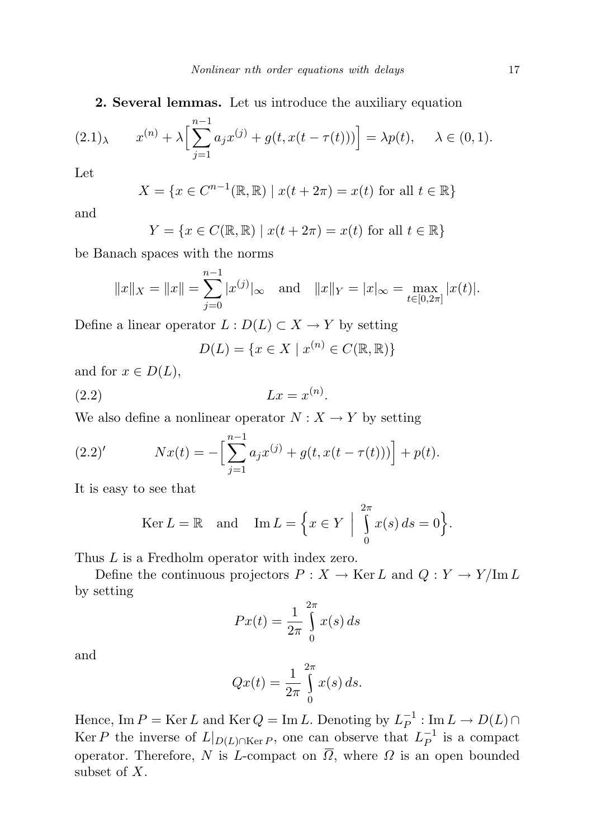2. Several lemmas. Let us introduce the auxiliary equation

$$
(2.1)_{\lambda} \qquad x^{(n)} + \lambda \Big[ \sum_{j=1}^{n-1} a_j x^{(j)} + g(t, x(t - \tau(t))) \Big] = \lambda p(t), \quad \lambda \in (0, 1).
$$

Let

$$
X = \{ x \in C^{n-1}(\mathbb{R}, \mathbb{R}) \mid x(t + 2\pi) = x(t) \text{ for all } t \in \mathbb{R} \}
$$

and

$$
Y = \{x \in C(\mathbb{R}, \mathbb{R}) \mid x(t + 2\pi) = x(t) \text{ for all } t \in \mathbb{R}\}\
$$

be Banach spaces with the norms

$$
||x||_X = ||x|| = \sum_{j=0}^{n-1} |x^{(j)}|_{\infty}
$$
 and  $||x||_Y = |x|_{\infty} = \max_{t \in [0, 2\pi]} |x(t)|$ .

Define a linear operator  $L : D(L) \subset X \to Y$  by setting

$$
D(L) = \{ x \in X \mid x^{(n)} \in C(\mathbb{R}, \mathbb{R}) \}
$$

and for  $x \in D(L)$ ,

$$
(2.2) \t\t Lx = x^{(n)}.
$$

We also define a nonlinear operator  $N : X \to Y$  by setting

(2.2)' 
$$
Nx(t) = -\Big[\sum_{j=1}^{n-1}a_jx^{(j)} + g(t, x(t-\tau(t)))\Big] + p(t).
$$

It is easy to see that

$$
\text{Ker}\,L = \mathbb{R} \quad \text{and} \quad \text{Im}\,L = \left\{ x \in Y \: \middle| \: \int_{0}^{2\pi} x(s) \, ds = 0 \right\}.
$$

Thus  $L$  is a Fredholm operator with index zero.

Define the continuous projectors  $P : X \to \text{Ker } L$  and  $Q : Y \to Y/\text{Im } L$ by setting

$$
Px(t) = \frac{1}{2\pi} \int_{0}^{2\pi} x(s) \, ds
$$

and

$$
Qx(t) = \frac{1}{2\pi} \int_{0}^{2\pi} x(s) ds.
$$

Hence, Im  $P = \text{Ker } L$  and  $\text{Ker } Q = \text{Im } L$ . Denoting by  $L_P^{-1}$  $\overline{P}^{-1}: \text{\rm Im}\,L \to D(L) \cap$ Ker P the inverse of  $L|_{D(L)\cap \text{Ker }P}$ , one can observe that  $L_P^{-1}$  $\overline{P}^1$  is a compact operator. Therefore, N is L-compact on  $\overline{\Omega}$ , where  $\Omega$  is an open bounded subset of X.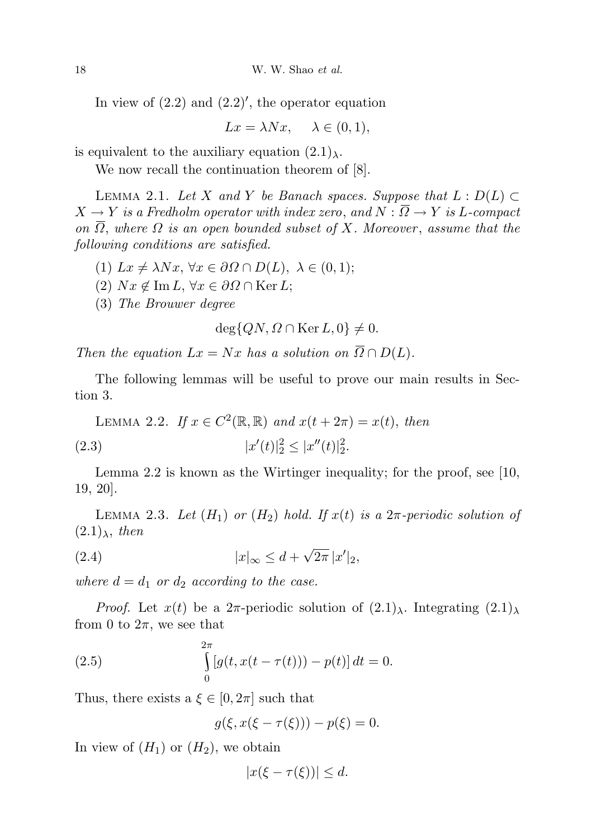In view of  $(2.2)$  and  $(2.2)'$ , the operator equation

$$
Lx = \lambda Nx, \quad \lambda \in (0, 1),
$$

is equivalent to the auxiliary equation  $(2.1)_{\lambda}$ .

We now recall the continuation theorem of [8].

LEMMA 2.1. Let X and Y be Banach spaces. Suppose that  $L : D(L) \subset$  $X \to Y$  is a Fredholm operator with index zero, and  $N : \overline{\Omega} \to Y$  is L-compact on  $\overline{\Omega}$ , where  $\Omega$  is an open bounded subset of X. Moreover, assume that the following conditions are satisfied.

- (1)  $Lx \neq \lambda Nx$ ,  $\forall x \in \partial \Omega \cap D(L)$ ,  $\lambda \in (0,1)$ ;
- (2)  $Nx \notin \text{Im } L, \forall x \in \partial\Omega \cap \text{Ker } L;$
- (3) The Brouwer degree

$$
\deg\{QN,\Omega\cap\operatorname{Ker}\nolimits L,0\}\neq 0.
$$

Then the equation  $Lx = Nx$  has a solution on  $\overline{\Omega} \cap D(L)$ .

The following lemmas will be useful to prove our main results in Section 3.

LEMMA 2.2. If  $x \in C^2(\mathbb{R}, \mathbb{R})$  and  $x(t + 2\pi) = x(t)$ , then  $(2.3)$  $'(t)|_2^2 \leq |x''(t)|_2^2.$ 

Lemma 2.2 is known as the Wirtinger inequality; for the proof, see [10, 19, 20].

LEMMA 2.3. Let  $(H_1)$  or  $(H_2)$  hold. If  $x(t)$  is a  $2\pi$ -periodic solution of  $(2.1)_{\lambda}$ , then

$$
(2.4) \t\t |x|_{\infty} \leq d + \sqrt{2\pi} \, |x'|_2,
$$

where  $d = d_1$  or  $d_2$  according to the case.

*Proof.* Let  $x(t)$  be a  $2\pi$ -periodic solution of  $(2.1)_{\lambda}$ . Integrating  $(2.1)_{\lambda}$ from 0 to  $2\pi$ , we see that

(2.5) 
$$
\int_{0}^{2\pi} [g(t, x(t-\tau(t))) - p(t)] dt = 0.
$$

Thus, there exists a  $\xi \in [0, 2\pi]$  such that

$$
g(\xi, x(\xi - \tau(\xi))) - p(\xi) = 0.
$$

In view of  $(H_1)$  or  $(H_2)$ , we obtain

$$
|x(\xi - \tau(\xi))| \leq d.
$$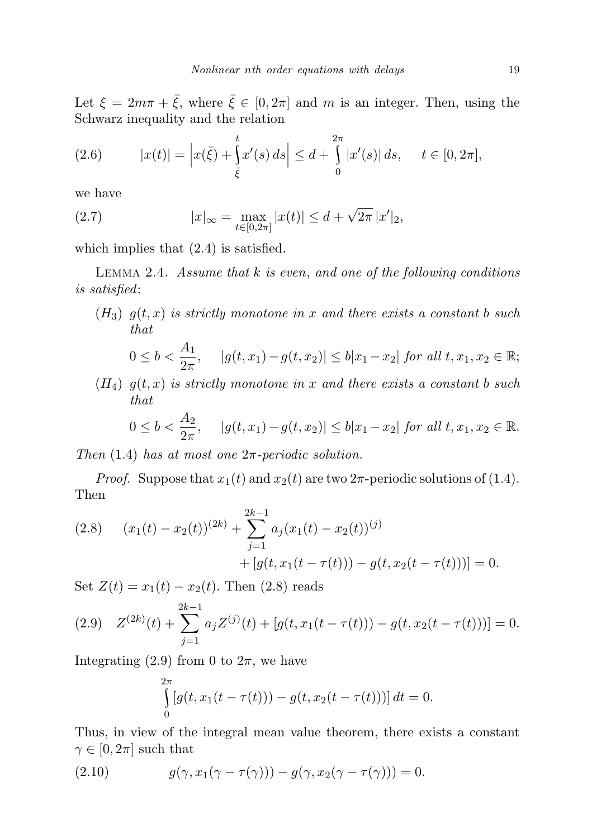Let  $\xi = 2m\pi + \bar{\xi}$ , where  $\bar{\xi} \in [0, 2\pi]$  and m is an integer. Then, using the Schwarz inequality and the relation

(2.6) 
$$
|x(t)| = \left| x(\bar{\xi}) + \int_{\bar{\xi}}^t x'(s) \, ds \right| \leq d + \int_0^{2\pi} |x'(s)| \, ds, \quad t \in [0, 2\pi],
$$

we have

(2.7) 
$$
|x|_{\infty} = \max_{t \in [0, 2\pi]} |x(t)| \leq d + \sqrt{2\pi} |x'|_2,
$$

which implies that  $(2.4)$  is satisfied.

LEMMA 2.4. Assume that  $k$  is even, and one of the following conditions is satisfied:

 $(H_3)$   $g(t,x)$  is strictly monotone in x and there exists a constant b such that

$$
0 \leq b < \frac{A_1}{2\pi}, \quad |g(t, x_1) - g(t, x_2)| \leq b|x_1 - x_2| \text{ for all } t, x_1, x_2 \in \mathbb{R};
$$

 $(H_4)$   $g(t,x)$  is strictly monotone in x and there exists a constant b such that

$$
0 \leq b < \frac{A_2}{2\pi}, \quad |g(t, x_1) - g(t, x_2)| \leq b|x_1 - x_2| \text{ for all } t, x_1, x_2 \in \mathbb{R}.
$$

Then  $(1.4)$  has at most one  $2\pi$ -periodic solution.

*Proof.* Suppose that  $x_1(t)$  and  $x_2(t)$  are two  $2\pi$ -periodic solutions of (1.4). Then

(2.8) 
$$
(x_1(t) - x_2(t))^{(2k)} + \sum_{j=1}^{2k-1} a_j (x_1(t) - x_2(t))^{(j)} + [g(t, x_1(t - \tau(t))) - g(t, x_2(t - \tau(t)))] = 0.
$$

Set  $Z(t) = x_1(t) - x_2(t)$ . Then (2.8) reads

(2.9) 
$$
Z^{(2k)}(t) + \sum_{j=1}^{2k-1} a_j Z^{(j)}(t) + [g(t, x_1(t - \tau(t))) - g(t, x_2(t - \tau(t)))] = 0.
$$

Integrating (2.9) from 0 to  $2\pi$ , we have

$$
\int_{0}^{2\pi} [g(t, x_1(t - \tau(t))) - g(t, x_2(t - \tau(t)))] dt = 0.
$$

Thus, in view of the integral mean value theorem, there exists a constant  $\gamma \in [0, 2\pi]$  such that

(2.10) 
$$
g(\gamma, x_1(\gamma - \tau(\gamma))) - g(\gamma, x_2(\gamma - \tau(\gamma))) = 0.
$$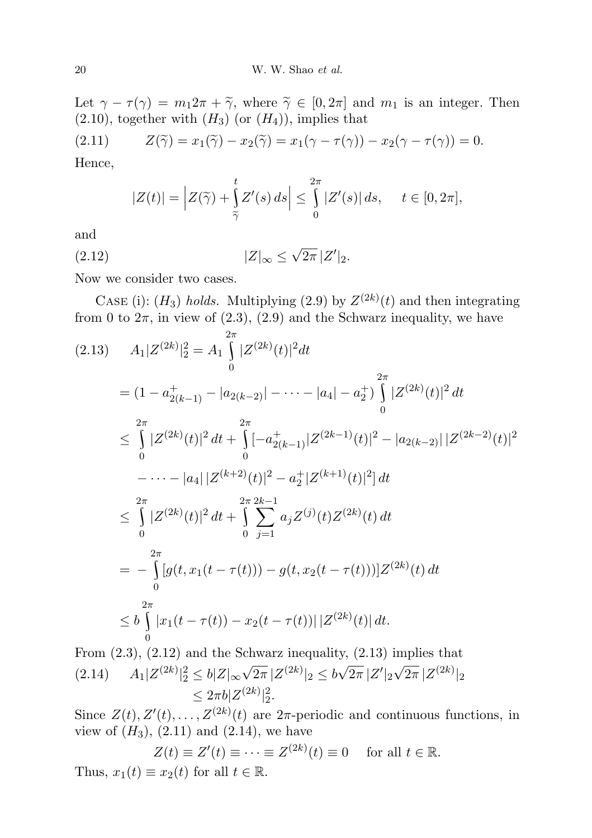Let  $\gamma - \tau(\gamma) = m_1 2\pi + \tilde{\gamma}$ , where  $\tilde{\gamma} \in [0, 2\pi]$  and  $m_1$  is an integer. Then  $(2.10)$ , together with  $(H_3)$  (or  $(H_4)$ ), implies that

(2.11) 
$$
Z(\widetilde{\gamma}) = x_1(\widetilde{\gamma}) - x_2(\widetilde{\gamma}) = x_1(\gamma - \tau(\gamma)) - x_2(\gamma - \tau(\gamma)) = 0.
$$

Hence,

$$
|Z(t)| = \left| Z(\widetilde{\gamma}) + \int\limits_{\widetilde{\gamma}}^t Z'(s) \, ds \right| \leq \int\limits_{0}^{2\pi} |Z'(s)| \, ds, \quad t \in [0, 2\pi],
$$

and

(2.12) 
$$
|Z|_{\infty} \le \sqrt{2\pi} |Z'|_2.
$$

Now we consider two cases.

CASE (i):  $(H_3)$  holds. Multiplying (2.9) by  $Z^{(2k)}(t)$  and then integrating from 0 to  $2\pi$ , in view of (2.3), (2.9) and the Schwarz inequality, we have

$$
(2.13) \quad A_1 |Z^{(2k)}|^2 = A_1 \int_0^{2\pi} |Z^{(2k)}(t)|^2 dt
$$
  
\n
$$
= (1 - a_{2(k-1)}^+ - |a_{2(k-2)}| - \dots - |a_4| - a_2^+) \int_0^{2\pi} |Z^{(2k)}(t)|^2 dt
$$
  
\n
$$
\leq \int_0^{2\pi} |Z^{(2k)}(t)|^2 dt + \int_0^{2\pi} [-a_{2(k-1)}^+ - |Z^{(2k-1)}(t)|^2 - |a_{2(k-2)}| |Z^{(2k-2)}(t)|^2
$$
  
\n
$$
- \dots - |a_4| |Z^{(k+2)}(t)|^2 - a_2^+ |Z^{(k+1)}(t)|^2 dt
$$
  
\n
$$
\leq \int_0^{2\pi} |Z^{(2k)}(t)|^2 dt + \int_0^{2\pi} \sum_{j=1}^{\infty} a_j Z^{(j)}(t) Z^{(2k)}(t) dt
$$
  
\n
$$
= - \int_0^{2\pi} [g(t, x_1(t - \tau(t))) - g(t, x_2(t - \tau(t)))] Z^{(2k)}(t) dt
$$
  
\n
$$
\leq b \int_0^{2\pi} |x_1(t - \tau(t)) - x_2(t - \tau(t))| |Z^{(2k)}(t)| dt.
$$

From (2.3), (2.12) and the Schwarz inequality, (2.13) implies that  $A_1 |Z^{(2k)}|_2^2 \leq b|Z|_{\infty}$ √  $\sqrt{2\pi} |Z^{(2k)}|_2 \leq b$ √  $\overline{2\pi}\,|Z'|_2$ √  $(2.14)$   $A_1|Z^{(2k)}|^2 \leq b|Z|_{\infty}\sqrt{2\pi}|Z^{(2k)}|_2 \leq b\sqrt{2\pi}|Z'|_2\sqrt{2\pi}|Z^{(2k)}|_2$  $\leq 2\pi b |Z^{(2k)}|_2^2.$ 

Since  $Z(t), Z'(t), \ldots, Z^{(2k)}(t)$  are  $2\pi$ -periodic and continuous functions, in view of  $(H_3)$ ,  $(2.11)$  and  $(2.14)$ , we have

$$
Z(t) \equiv Z'(t) \equiv \dots \equiv Z^{(2k)}(t) \equiv 0 \quad \text{ for all } t \in \mathbb{R}.
$$
  
Thus,  $x_1(t) \equiv x_2(t)$  for all  $t \in \mathbb{R}$ .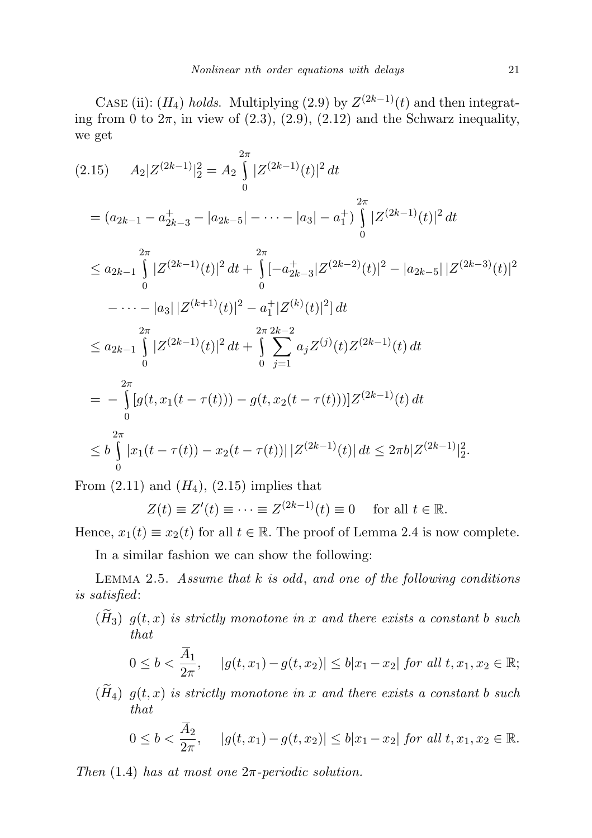CASE (ii):  $(H_4)$  holds. Multiplying (2.9) by  $Z^{(2k-1)}(t)$  and then integrating from 0 to  $2\pi$ , in view of  $(2.3)$ ,  $(2.9)$ ,  $(2.12)$  and the Schwarz inequality, we get

$$
(2.15) \tA_{2}|Z^{(2k-1)}|_{2}^{2} = A_{2} \int_{0}^{2\pi} |Z^{(2k-1)}(t)|^{2} dt
$$
  
\n
$$
= (a_{2k-1} - a_{2k-3}^{+} - |a_{2k-5}| - \cdots - |a_{3}| - a_{1}^{+}) \int_{0}^{2\pi} |Z^{(2k-1)}(t)|^{2} dt
$$
  
\n
$$
\leq a_{2k-1} \int_{0}^{2\pi} |Z^{(2k-1)}(t)|^{2} dt + \int_{0}^{2\pi} [-a_{2k-3}^{+}|Z^{(2k-2)}(t)|^{2} - |a_{2k-5}| |Z^{(2k-3)}(t)|^{2}
$$
  
\n
$$
- \cdots - |a_{3}| |Z^{(k+1)}(t)|^{2} - a_{1}^{+}|Z^{(k)}(t)|^{2}] dt
$$
  
\n
$$
\leq a_{2k-1} \int_{0}^{2\pi} |Z^{(2k-1)}(t)|^{2} dt + \int_{0}^{2\pi} \int_{j=1}^{2\pi} a_{j} Z^{(j)}(t) Z^{(2k-1)}(t) dt
$$
  
\n
$$
= - \int_{0}^{2\pi} [g(t, x_{1}(t - \tau(t))) - g(t, x_{2}(t - \tau(t)))] Z^{(2k-1)}(t) dt
$$
  
\n
$$
\leq b \int_{0}^{2\pi} |x_{1}(t - \tau(t)) - x_{2}(t - \tau(t))| |Z^{(2k-1)}(t)| dt \leq 2\pi b |Z^{(2k-1)}|_{2}^{2}.
$$

From  $(2.11)$  and  $(H_4)$ ,  $(2.15)$  implies that

$$
Z(t) \equiv Z'(t) \equiv \dots \equiv Z^{(2k-1)}(t) \equiv 0 \quad \text{ for all } t \in \mathbb{R}.
$$

Hence,  $x_1(t) \equiv x_2(t)$  for all  $t \in \mathbb{R}$ . The proof of Lemma 2.4 is now complete.

In a similar fashion we can show the following:

LEMMA 2.5. Assume that  $k$  is odd, and one of the following conditions is satisfied:

 $(\widetilde{H}_3)$   $g(t, x)$  is strictly monotone in x and there exists a constant b such that

$$
0 \leq b < \frac{\overline{A}_1}{2\pi}, \quad |g(t, x_1) - g(t, x_2)| \leq b|x_1 - x_2| \text{ for all } t, x_1, x_2 \in \mathbb{R};
$$

 $(\widetilde{H}_4)$   $g(t, x)$  is strictly monotone in x and there exists a constant b such that

$$
0 \leq b < \frac{\overline{A}_2}{2\pi}, \quad |g(t, x_1) - g(t, x_2)| \leq b|x_1 - x_2| \text{ for all } t, x_1, x_2 \in \mathbb{R}.
$$

Then  $(1.4)$  has at most one  $2\pi$ -periodic solution.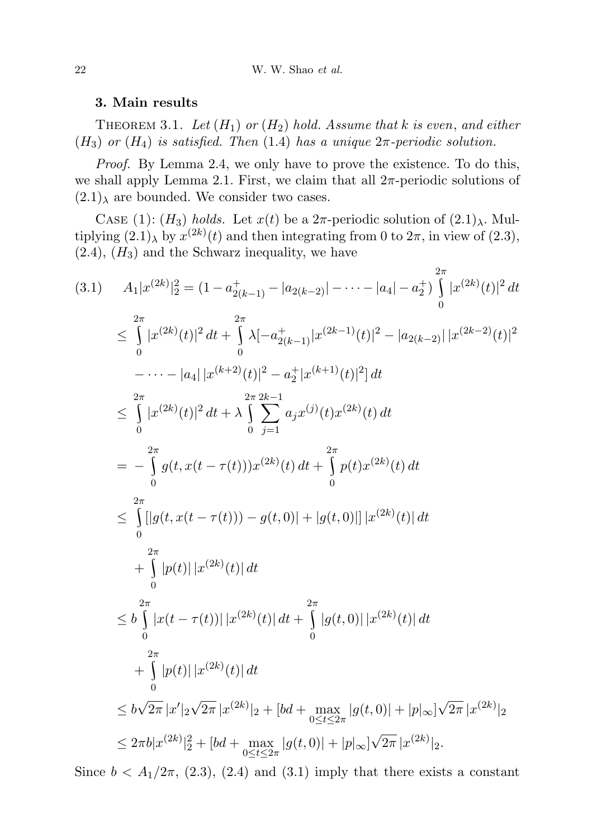## 3. Main results

THEOREM 3.1. Let  $(H_1)$  or  $(H_2)$  hold. Assume that k is even, and either  $(H_3)$  or  $(H_4)$  is satisfied. Then (1.4) has a unique  $2\pi$ -periodic solution.

Proof. By Lemma 2.4, we only have to prove the existence. To do this, we shall apply Lemma 2.1. First, we claim that all  $2\pi$ -periodic solutions of  $(2.1)$ <sub>λ</sub> are bounded. We consider two cases.

CASE (1): (H<sub>3</sub>) holds. Let  $x(t)$  be a  $2\pi$ -periodic solution of  $(2.1)_{\lambda}$ . Multiplying  $(2.1)$ <sub>λ</sub> by  $x^{(2k)}(t)$  and then integrating from 0 to  $2\pi$ , in view of  $(2.3)$ ,  $(2.4)$ ,  $(H_3)$  and the Schwarz inequality, we have

$$
(3.1) \t A_{1}|x^{(2k)}|_{2}^{2} = (1 - a_{2(k-1)}^{+} - |a_{2(k-2)}| - \cdots - |a_{4}| - a_{2}^{+}) \int_{0}^{2\pi} |x^{(2k)}(t)|^{2} dt
$$
  
\n
$$
\leq \int_{0}^{2\pi} |x^{(2k)}(t)|^{2} dt + \int_{0}^{2\pi} \lambda [-a_{2(k-1)}^{+}|x^{(2k-1)}(t)|^{2} - |a_{2(k-2)}| |x^{(2k-2)}(t)|^{2}
$$
  
\n
$$
- \cdots - |a_{4}| |x^{(k+2)}(t)|^{2} - a_{2}^{+}|x^{(k+1)}(t)|^{2}] dt
$$
  
\n
$$
\leq \int_{0}^{2\pi} |x^{(2k)}(t)|^{2} dt + \lambda \int_{0}^{2\pi} \sum_{j=1}^{2k-1} a_{j}x^{(j)}(t)x^{(2k)}(t) dt
$$
  
\n
$$
= - \int_{0}^{2\pi} g(t, x(t - \tau(t)))x^{(2k)}(t) dt + \int_{0}^{2\pi} p(t)x^{(2k)}(t) dt
$$
  
\n
$$
\leq \int_{0}^{2\pi} |g(t, x(t - \tau(t))) - g(t, 0)| + |g(t, 0)| |x^{(2k)}(t)| dt
$$
  
\n
$$
+ \int_{0}^{2\pi} |p(t)| |x^{(2k)}(t)| dt
$$
  
\n
$$
\leq b \int_{0}^{2\pi} |x(t - \tau(t))| |x^{(2k)}(t)| dt + \int_{0}^{2\pi} |g(t, 0)| |x^{(2k)}(t)| dt
$$
  
\n
$$
+ \int_{0}^{2\pi} |p(t)| |x^{(2k)}(t)| dt
$$
  
\n
$$
\leq b\sqrt{2\pi} |x'|_{2} \sqrt{2\pi} |x^{(2k)}|_{2} + [bd + \max_{0 \leq t \leq 2\pi} |g(t, 0)| + |p|_{\infty} |\sqrt{2\pi} |x^{(2k)}|_{2}
$$
  
\n
$$
\leq 2\pi b |x^{(2k)}|_{2}^{2} + [bd + \max_{0 \leq t \leq 2
$$

Since  $b < A_1/2\pi$ , (2.3), (2.4) and (3.1) imply that there exists a constant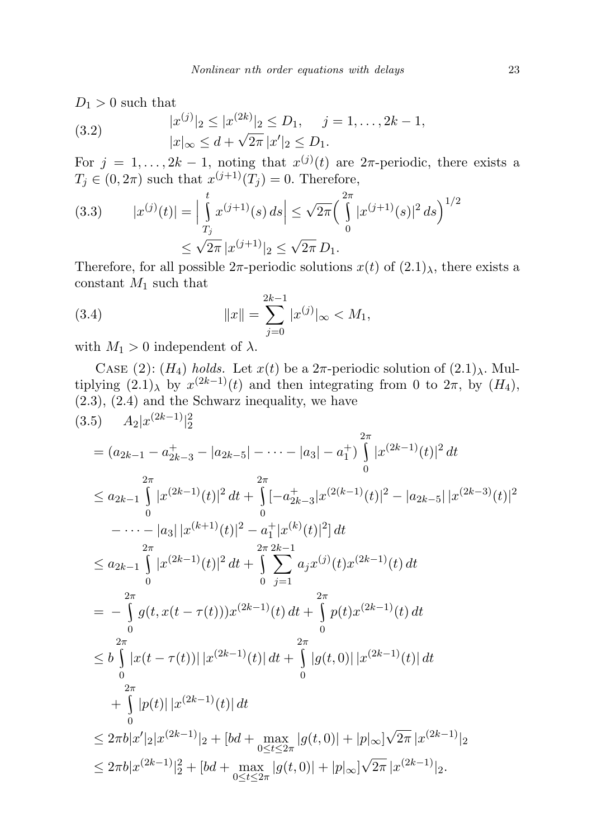$D_1 > 0$  such that

(3.2) 
$$
|x^{(j)}|_2 \le |x^{(2k)}|_2 \le D_1, \quad j = 1, ..., 2k - 1, |x|_{\infty} \le d + \sqrt{2\pi} |x'|_2 \le D_1.
$$

For  $j = 1, ..., 2k - 1$ , noting that  $x^{(j)}(t)$  are  $2\pi$ -periodic, there exists a  $T_j \in (0, 2\pi)$  such that  $x^{(j+1)}(T_j) = 0$ . Therefore,

(3.3) 
$$
|x^{(j)}(t)| = \left| \int_{T_j}^t x^{(j+1)}(s) ds \right| \le \sqrt{2\pi} \left( \int_0^{2\pi} |x^{(j+1)}(s)|^2 ds \right)^{1/2}
$$

$$
\le \sqrt{2\pi} |x^{(j+1)}|_2 \le \sqrt{2\pi} D_1.
$$

Therefore, for all possible  $2\pi$ -periodic solutions  $x(t)$  of  $(2.1)_{\lambda}$ , there exists a constant  $M_1$  such that

(3.4) 
$$
||x|| = \sum_{j=0}^{2k-1} |x^{(j)}|_{\infty} < M_1,
$$

with  $M_1 > 0$  independent of  $\lambda$ .

CASE (2): (H<sub>4</sub>) holds. Let  $x(t)$  be a  $2\pi$ -periodic solution of  $(2.1)_{\lambda}$ . Multiplying  $(2.1)$ <sub>λ</sub> by  $x^{(2k-1)}(t)$  and then integrating from 0 to  $2\pi$ , by  $(H_4)$ , (2.3), (2.4) and the Schwarz inequality, we have

$$
(3.5) \tA_{2}|x^{(2k-1)}|_{2}^{2}
$$
  
\t
$$
= (a_{2k-1} - a_{2k-3}^{+} - |a_{2k-5}| - \cdots - |a_{3}| - a_{1}^{+}) \int_{0}^{2\pi} |x^{(2k-1)}(t)|^{2} dt
$$
  
\t
$$
\leq a_{2k-1} \int_{0}^{2\pi} |x^{(2k-1)}(t)|^{2} dt + \int_{0}^{2\pi} [-a_{2k-3}^{+}|x^{(2(k-1)}(t)|^{2} - |a_{2k-5}| |x^{(2k-3)}(t)|^{2}
$$
  
\t
$$
- \cdots - |a_{3}| |x^{(k+1)}(t)|^{2} - a_{1}^{+}|x^{(k)}(t)|^{2}] dt
$$
  
\t
$$
\leq a_{2k-1} \int_{0}^{2\pi} |x^{(2k-1)}(t)|^{2} dt + \int_{0}^{2\pi} \sum_{j=1}^{2\pi} a_{j}x^{(j)}(t)x^{(2k-1)}(t) dt
$$
  
\t
$$
= - \int_{0}^{2\pi} g(t, x(t - \tau(t)) |x^{(2k-1)}(t) dt + \int_{0}^{2\pi} p(t)x^{(2k-1)}(t) dt
$$
  
\t
$$
\leq b \int_{0}^{2\pi} |x(t - \tau(t))| |x^{(2k-1)}(t)| dt + \int_{0}^{2\pi} |g(t, 0)| |x^{(2k-1)}(t)| dt
$$
  
\t
$$
+ \int_{0}^{2\pi} |p(t)| |x^{(2k-1)}(t)| dt
$$
  
\t
$$
\leq 2\pi b |x'|_{2} |x^{(2k-1)}|_{2} + [bd + \max_{0 \leq t \leq 2\pi} |g(t, 0)| + |p|_{\infty} |\sqrt{2\pi} |x^{(2k-1)}|_{2}
$$
  
\t
$$
\leq 2\pi b |x^{(2k-1)}|_{2}^{2} + [bd + \max_{0 \leq t \leq 2\pi} |g(t, 0)| + |p|_{\infty} |\sqrt{2\pi} |x^{(2k-1)}|_{2}.
$$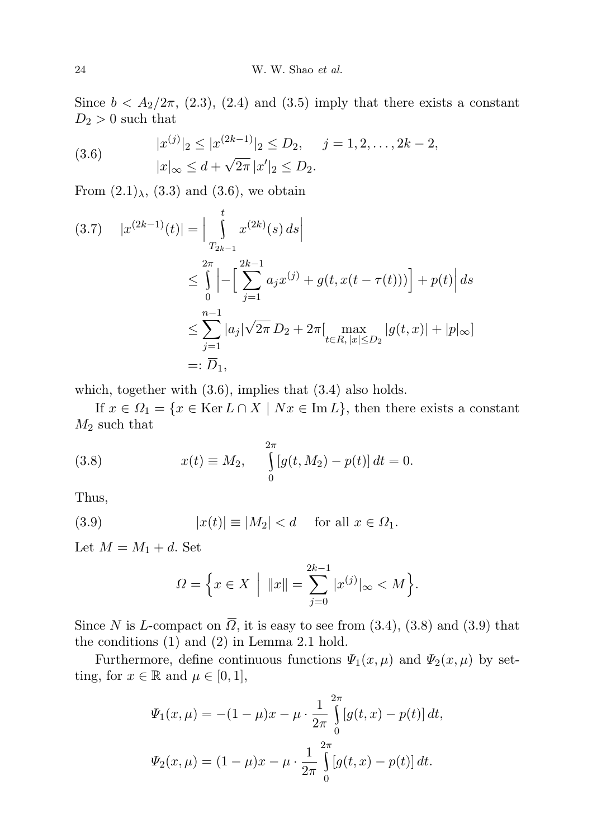Since  $b < A_2/2\pi$ , (2.3), (2.4) and (3.5) imply that there exists a constant  $D_2 > 0$  such that

(3.6) 
$$
|x^{(j)}|_2 \le |x^{(2k-1)}|_2 \le D_2, \quad j = 1, 2, ..., 2k-2, |x|_{\infty} \le d + \sqrt{2\pi} |x'|_2 \le D_2.
$$

From  $(2.1)_{\lambda}$ ,  $(3.3)$  and  $(3.6)$ , we obtain

$$
(3.7) \quad |x^{(2k-1)}(t)| = \Big| \int_{T_{2k-1}}^{t} x^{(2k)}(s) \, ds \Big|
$$
  

$$
\leq \int_{0}^{2\pi} \Big| - \Big[ \sum_{j=1}^{2k-1} a_j x^{(j)} + g(t, x(t - \tau(t))) \Big] + p(t) \Big| \, ds
$$
  

$$
\leq \sum_{j=1}^{n-1} |a_j| \sqrt{2\pi} D_2 + 2\pi \Big[ \max_{t \in R, |x| \leq D_2} |g(t, x)| + |p|_{\infty} \Big]
$$
  

$$
=: \overline{D}_1,
$$

which, together with (3.6), implies that (3.4) also holds.

If  $x \in \Omega_1 = \{x \in \text{Ker } L \cap X \mid Nx \in \text{Im } L\}$ , then there exists a constant  $M_2$  such that

(3.8) 
$$
x(t) \equiv M_2, \quad \int_{0}^{2\pi} [g(t, M_2) - p(t)] dt = 0.
$$

Thus,

(3.9) 
$$
|x(t)| \equiv |M_2| < d \quad \text{for all } x \in \Omega_1.
$$

Let  $M = M_1 + d$ . Set

$$
\Omega = \left\{ x \in X \: \middle| \: \|x\| = \sum_{j=0}^{2k-1} |x^{(j)}|_{\infty} < M \right\}.
$$

Since N is L-compact on  $\overline{\Omega}$ , it is easy to see from (3.4), (3.8) and (3.9) that the conditions (1) and (2) in Lemma 2.1 hold.

Furthermore, define continuous functions  $\Psi_1(x,\mu)$  and  $\Psi_2(x,\mu)$  by setting, for  $x \in \mathbb{R}$  and  $\mu \in [0,1]$ ,

$$
\Psi_1(x,\mu) = -(1-\mu)x - \mu \cdot \frac{1}{2\pi} \int_0^{2\pi} [g(t,x) - p(t)] dt,
$$
  

$$
\Psi_2(x,\mu) = (1-\mu)x - \mu \cdot \frac{1}{2\pi} \int_0^{2\pi} [g(t,x) - p(t)] dt.
$$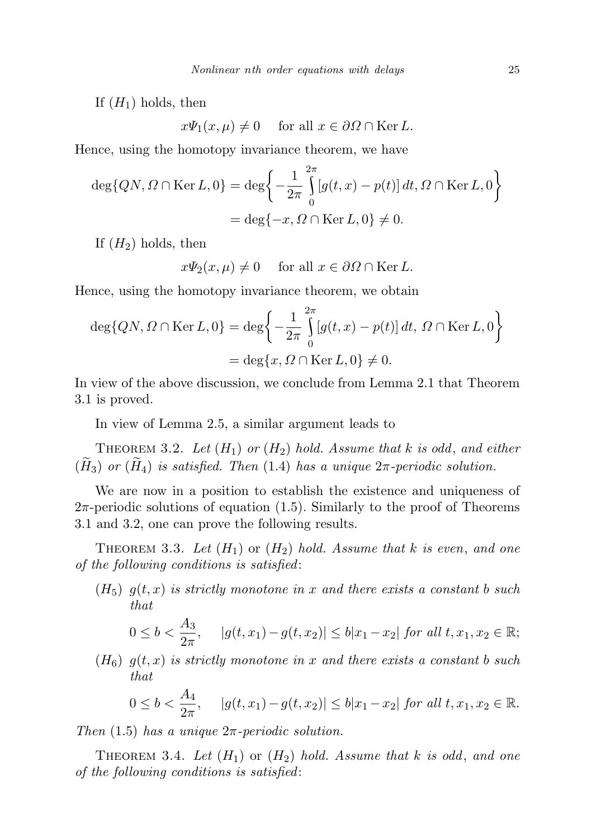If  $(H_1)$  holds, then

 $x\Psi_1(x,\mu) \neq 0$  for all  $x \in \partial\Omega \cap \text{Ker }L$ .

Hence, using the homotopy invariance theorem, we have

$$
\deg\{QN, \Omega \cap \text{Ker } L, 0\} = \deg\left\{-\frac{1}{2\pi} \int_{0}^{2\pi} [g(t, x) - p(t)] dt, \Omega \cap \text{Ker } L, 0\right\}
$$

$$
= \deg\{-x, \Omega \cap \text{Ker } L, 0\} \neq 0.
$$

If  $(H_2)$  holds, then

$$
x\Psi_2(x,\mu)\neq 0 \quad \text{ for all } x\in \partial\Omega \cap \text{Ker } L.
$$

Hence, using the homotopy invariance theorem, we obtain

$$
\deg\{QN, \Omega \cap \text{Ker } L, 0\} = \deg\left\{-\frac{1}{2\pi} \int_{0}^{2\pi} [g(t, x) - p(t)] dt, \Omega \cap \text{Ker } L, 0\right\}
$$

$$
= \deg\{x, \Omega \cap \text{Ker } L, 0\} \neq 0.
$$

In view of the above discussion, we conclude from Lemma 2.1 that Theorem 3.1 is proved.

In view of Lemma 2.5, a similar argument leads to

THEOREM 3.2. Let  $(H_1)$  or  $(H_2)$  hold. Assume that k is odd, and either  $(\widetilde{H}_3)$  or  $(\widetilde{H}_4)$  is satisfied. Then (1.4) has a unique  $2\pi$ -periodic solution.

We are now in a position to establish the existence and uniqueness of  $2\pi$ -periodic solutions of equation  $(1.5)$ . Similarly to the proof of Theorems 3.1 and 3.2, one can prove the following results.

THEOREM 3.3. Let  $(H_1)$  or  $(H_2)$  hold. Assume that k is even, and one of the following conditions is satisfied:

 $(H_5)$   $q(t,x)$  is strictly monotone in x and there exists a constant b such that

$$
0 \leq b < \frac{A_3}{2\pi}, \quad |g(t, x_1) - g(t, x_2)| \leq b|x_1 - x_2| \text{ for all } t, x_1, x_2 \in \mathbb{R};
$$

 $(H_6)$   $g(t,x)$  is strictly monotone in x and there exists a constant b such that

$$
0 \leq b < \frac{A_4}{2\pi}, \quad |g(t, x_1) - g(t, x_2)| \leq b|x_1 - x_2| \text{ for all } t, x_1, x_2 \in \mathbb{R}.
$$

Then  $(1.5)$  has a unique  $2\pi$ -periodic solution.

THEOREM 3.4. Let  $(H_1)$  or  $(H_2)$  hold. Assume that k is odd, and one of the following conditions is satisfied: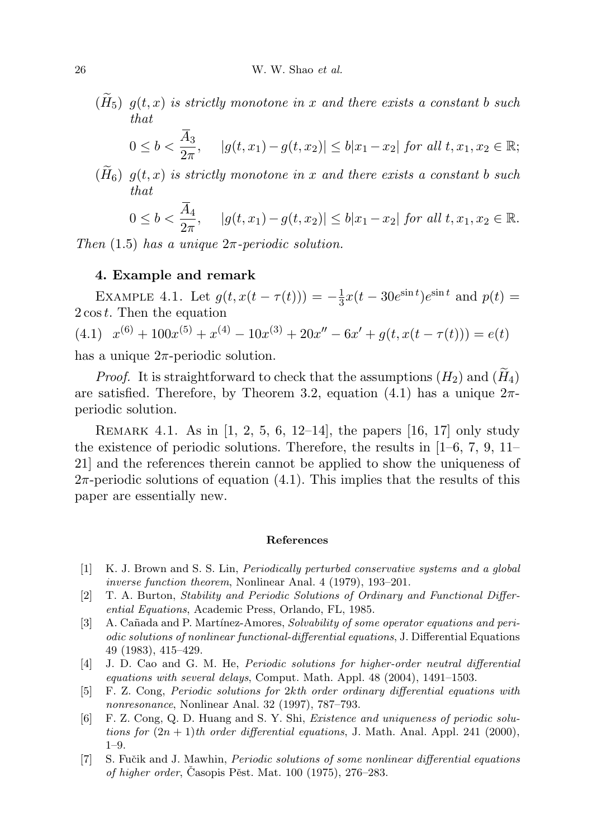$(\widetilde{H}_5)$   $g(t, x)$  is strictly monotone in x and there exists a constant b such that

$$
0 \leq b < \frac{A_3}{2\pi}, \quad |g(t, x_1) - g(t, x_2)| \leq b|x_1 - x_2| \text{ for all } t, x_1, x_2 \in \mathbb{R};
$$

 $(H_6)$   $g(t,x)$  is strictly monotone in x and there exists a constant b such that

$$
0 \leq b < \frac{A_4}{2\pi}, \quad |g(t, x_1) - g(t, x_2)| \leq b|x_1 - x_2| \text{ for all } t, x_1, x_2 \in \mathbb{R}.
$$

Then  $(1.5)$  has a unique  $2\pi$ -periodic solution.

## 4. Example and remark

EXAMPLE 4.1. Let  $g(t, x(t - \tau(t))) = -\frac{1}{3}$  $\frac{1}{3}x(t-30e^{\sin t})e^{\sin t}$  and  $p(t)$  = 2 cost. Then the equation  $(4.1)$   $x^{(6)} + 100x^{(5)} + x^{(4)} - 10x^{(3)} + 20x'' - 6x' + g(t, x(t - \tau(t))) = e(t)$ has a unique  $2\pi$ -periodic solution.

*Proof.* It is straightforward to check that the assumptions  $(H_2)$  and  $(H_4)$ are satisfied. Therefore, by Theorem 3.2, equation (4.1) has a unique  $2\pi$ periodic solution.

Remark 4.1. As in [1, 2, 5, 6, 12–14], the papers [16, 17] only study the existence of periodic solutions. Therefore, the results in [1–6, 7, 9, 11– 21] and the references therein cannot be applied to show the uniqueness of  $2\pi$ -periodic solutions of equation (4.1). This implies that the results of this paper are essentially new.

## References

- [1] K. J. Brown and S. S. Lin, Periodically perturbed conservative systems and a global inverse function theorem, Nonlinear Anal. 4 (1979), 193–201.
- [2] T. A. Burton, Stability and Periodic Solutions of Ordinary and Functional Differential Equations, Academic Press, Orlando, FL, 1985.
- [3] A. Cañada and P. Martínez-Amores, Solvability of some operator equations and periodic solutions of nonlinear functional-differential equations, J. Differential Equations 49 (1983), 415–429.
- [4] J. D. Cao and G. M. He, Periodic solutions for higher-order neutral differential equations with several delays, Comput. Math. Appl. 48 (2004), 1491–1503.
- [5] F. Z. Cong, Periodic solutions for 2kth order ordinary differential equations with nonresonance, Nonlinear Anal. 32 (1997), 787–793.
- [6] F. Z. Cong, Q. D. Huang and S. Y. Shi, Existence and uniqueness of periodic solutions for  $(2n + 1)$ th order differential equations, J. Math. Anal. Appl. 241 (2000), 1–9.
- [7] S. Fučik and J. Mawhin, *Periodic solutions of some nonlinear differential equations* of higher order, Casopis Pěst. Mat.  $100$  (1975),  $276-283$ .